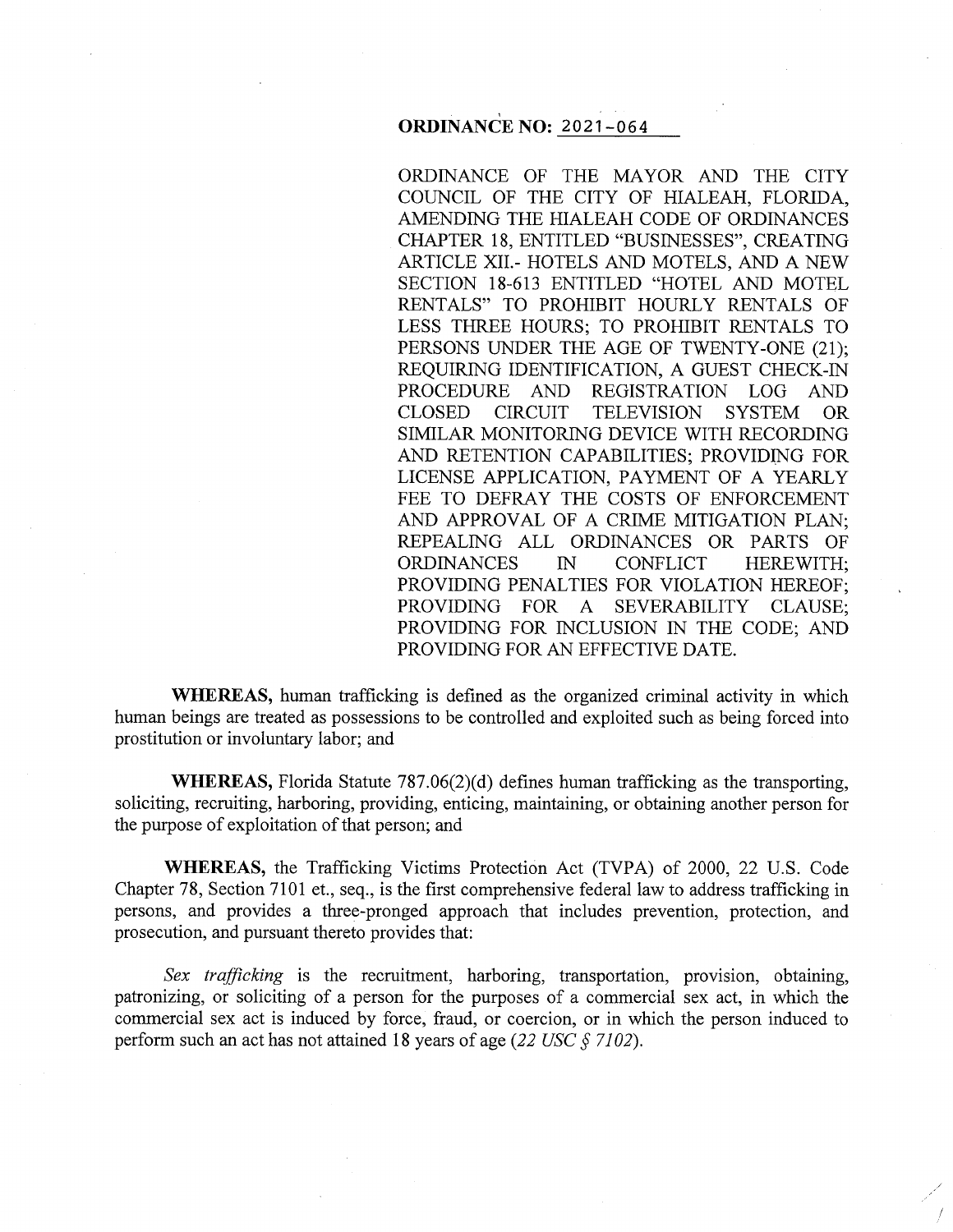# ' **ORDINANCE NO:** 2021-064

ORDINANCE OF THE MAYOR AND THE CITY COUNCIL OF THE CITY OF HIALEAH, FLORIDA, AMENDING THE HIALEAH CODE OF ORDINANCES CHAPTER 18, ENTITLED "BUSINESSES", CREATING ARTICLE XII.- HOTELS AND MOTELS, AND A NEW SECTION 18-613 ENTITLED "HOTEL AND MOTEL RENTALS" TO PROHIBIT HOURLY RENTALS OF LESS THREE HOURS; TO PROHIBIT RENTALS TO PERSONS UNDER THE AGE OF TWENTY-ONE (21); REQUIRING IDENTIFICATION, A GUEST CHECK-IN PROCEDURE AND REGISTRATION LOG AND CLOSED CIRCUIT TELEVISION SYSTEM OR SIMILAR MONITORING DEVICE WITH RECORDING AND RETENTION CAPABILITIES; PROVIDING FOR LICENSE APPLICATION, PAYMENT OF A YEARLY FEE TO DEFRAY THE COSTS OF ENFORCEMENT AND APPROVAL OF A CRIME MITIGATION PLAN; REPEALING ALL ORDINANCES OR PARTS OF ORDINANCES IN CONFLICT HEREWITH; PROVIDING PENALTIES FOR VIOLATION HEREOF; PROVIDING FOR A SEVERABILITY CLAUSE; PROVIDING FOR INCLUSION IN THE CODE; AND PROVIDING FOR AN EFFECTIVE DATE.

**WHEREAS,** human trafficking is defined as the organized criminal activity in which human beings are treated as possessions to be controlled and exploited such as being forced into prostitution or involuntary labor; and

**WHEREAS,** Florida Statute 787.06(2)(d) defines human trafficking as the transporting, soliciting, recruiting, harboring, providing, enticing, maintaining, or obtaining another person for the purpose of exploitation of that person; and

**WHEREAS,** the Trafficking Victims Protection Act (TVPA) of 2000, 22 U.S. Code Chapter 78, Section 7101 et., seq., is the first comprehensive federal law to address trafficking in persons, and provides a three-pronged approach that includes prevention, protection, and prosecution, and pursuant thereto provides that:

*Sex trafficking* is the recruitment, harboring, transportation, provision, obtaining, patronizing, or soliciting of a person for the purposes of a commercial sex act, in which the commercial sex act is induced by force, fraud, or coercion, or in which the person induced to perform such an act has not attained 18 years of age *(22 USC§ 7102).*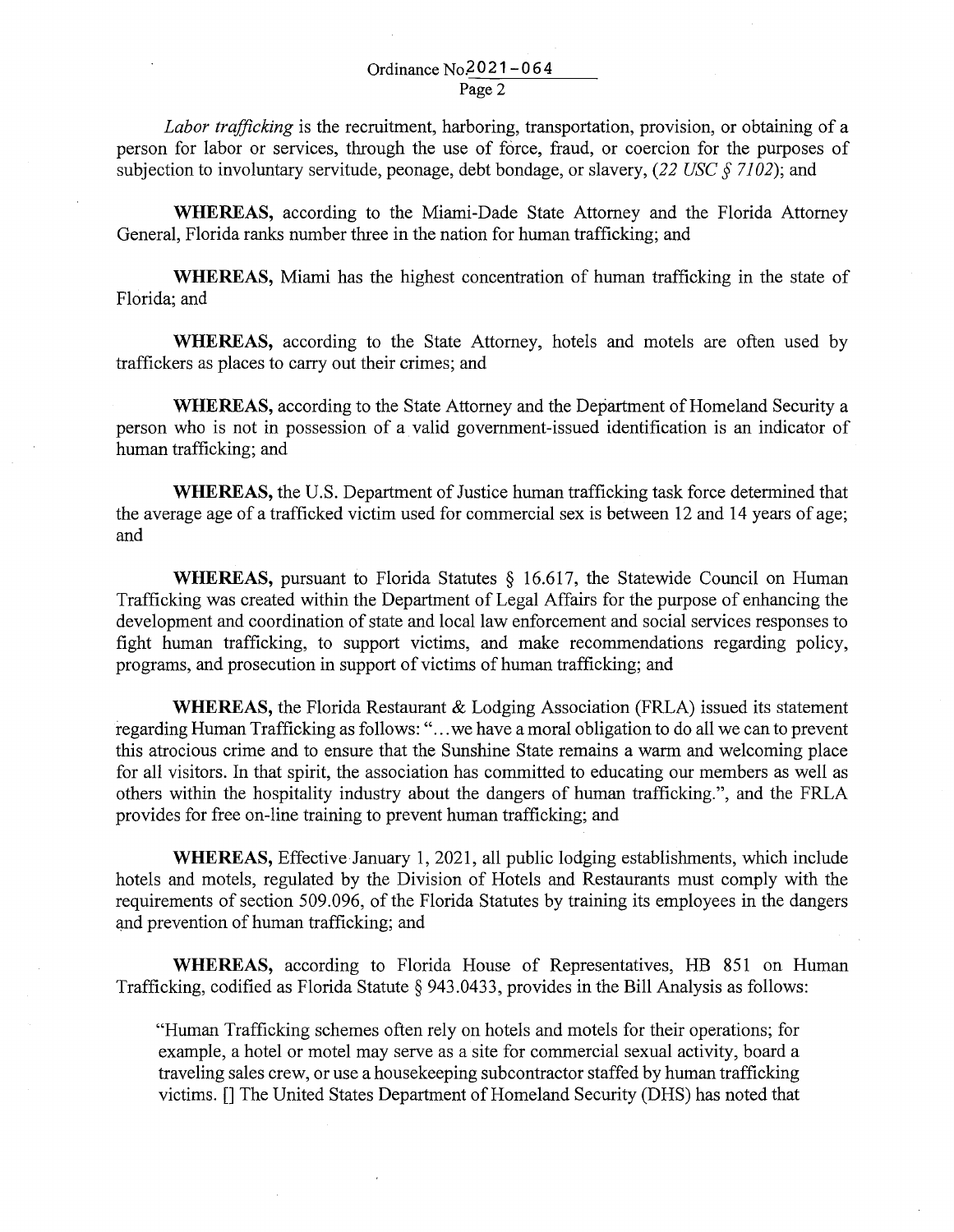*Labor trafficking* is the recruitment, harboring, transportation, provision, or obtaining of a person for labor or services, through the use of force, fraud, or coercion for the purposes of subjection to involuntary servitude, peonage, debt bondage, or slavery, *(22 USC§ 7102);* and

**WHEREAS,** according to the Miami-Dade State Attorney and the Florida Attorney General, Florida ranks number three in the nation for human trafficking; and

**WHEREAS,** Miami has the highest concentration of human trafficking in the state of Florida; and

**WHEREAS,** according to the State Attorney, hotels and motels are often used by traffickers as places to carry out their crimes; and

**WHEREAS,** according to the State Attorney and the Department of Homeland Security a person who is not in possession of a valid government-issued identification is an indicator of human trafficking; and

**WHEREAS,** the U.S. Department of Justice human trafficking task force determined that the average age of a trafficked victim used for commercial sex is between 12 and 14 years of age; and

**WHEREAS,** pursuant to Florida Statutes § 16.617, the Statewide Council on Human Trafficking was created within the Department of Legal Affairs for the purpose of enhancing the development and coordination of state and local law enforcement and social services responses to fight human trafficking, to support victims, and make recommendations regarding policy, programs, and prosecution in support of victims of human trafficking; and

**WHEREAS,** the Florida Restaurant & Lodging Association (FRLA) issued its statement regarding Human Trafficking as follows: " ... we have a moral obligation to do all we can to prevent this atrocious crime and to ensure that the Sunshine State remains a warm and welcoming place for all visitors. In that spirit, the association has committed to educating our members as well as others within the hospitality industry about the dangers of human trafficking.", and the FRLA provides for free on-line training to prevent human trafficking; and

WHEREAS, Effective January 1, 2021, all public lodging establishments, which include hotels and motels, regulated by the Division of Hotels and Restaurants must comply with the requirements of section 509 .096, of the Florida Statutes by training its employees in the dangers and prevention of human trafficking; and

**WHEREAS,** according to Florida House of Representatives, HB 851 on Human Trafficking, codified as Florida Statute § 943.0433, provides in the Bill Analysis as follows:

"Human Trafficking schemes often rely on hotels and motels for their operations; for example, a hotel or motel may serve as a site for commercial sexual activity, board a traveling sales crew, or use a housekeeping subcontractor staffed by human trafficking victims. []The United States Department of Homeland Security (DHS) has noted that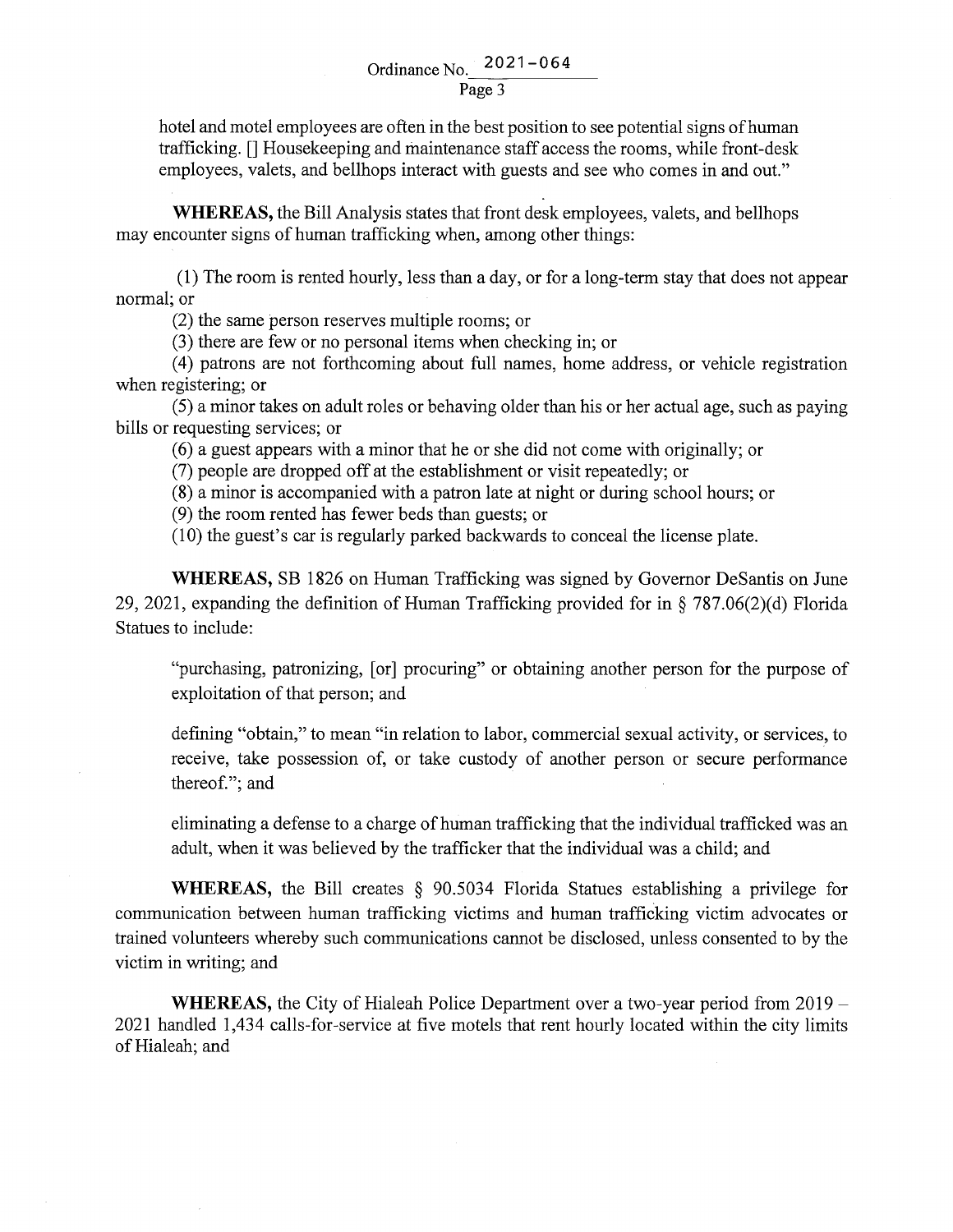hotel and motel employees are often in the best position to see potential signs of human trafficking. [] Housekeeping and maintenance staff access the rooms, while front-desk employees, valets, and bellhops interact with guests and see who comes in and out."

**WHEREAS,** the Bill Analysis states that front desk employees, valets, and bellhops may encounter signs of human trafficking when, among other things:

(1) The room is rented hourly, less than a day, or for a long-term stay that does not appear normal; or

(2) the same person reserves multiple rooms; or

(3) there are few or no personal items when checking in; or

(4) patrons are not forthcoming about full names, home address, or vehicle registration when registering; or

(5) a minor takes on adult roles or behaving older than his or her actual age, such as paying bills or requesting services; or

(6) a guest appears with a minor that he or she did not come with originally; or

(7) people are dropped off at the establishment or visit repeatedly; or

(8) a minor is accompanied with a patron late at night or during school hours; or

(9) the room rented has fewer beds than guests; or

(10) the guest's car is regularly parked backwards to conceal the license plate.

**WHEREAS,** SB 1826 on Human Trafficking was signed by Governor DeSantis on June 29, 2021, expanding the definition of Human Trafficking provided for in§ 787.06(2)(d) Florida Statues to include:

"purchasing, patronizing, [or] procuring" or obtaining another person for the purpose of exploitation of that person; and

defining "obtain," to mean "in relation to labor, commercial sexual activity, or services, to receive, take possession of, or take custody of another person or secure performance thereof."; and

eliminating a defense to a charge of human trafficking that the individual trafficked was an adult, when it was believed by the trafficker that the individual was a child; and

**WHEREAS,** the Bill creates § 90.5034 Florida Statues establishing a privilege for communication between human trafficking victims and human trafficking victim advocates or trained volunteers whereby such communications cannot be disclosed, unless consented to by the victim in writing; and

**WHEREAS,** the City of Hialeah Police Department over a two-year period from 2019 - 2021 handled 1,434 calls-for-service at five motels that rent hourly located within the city limits of Hialeah; and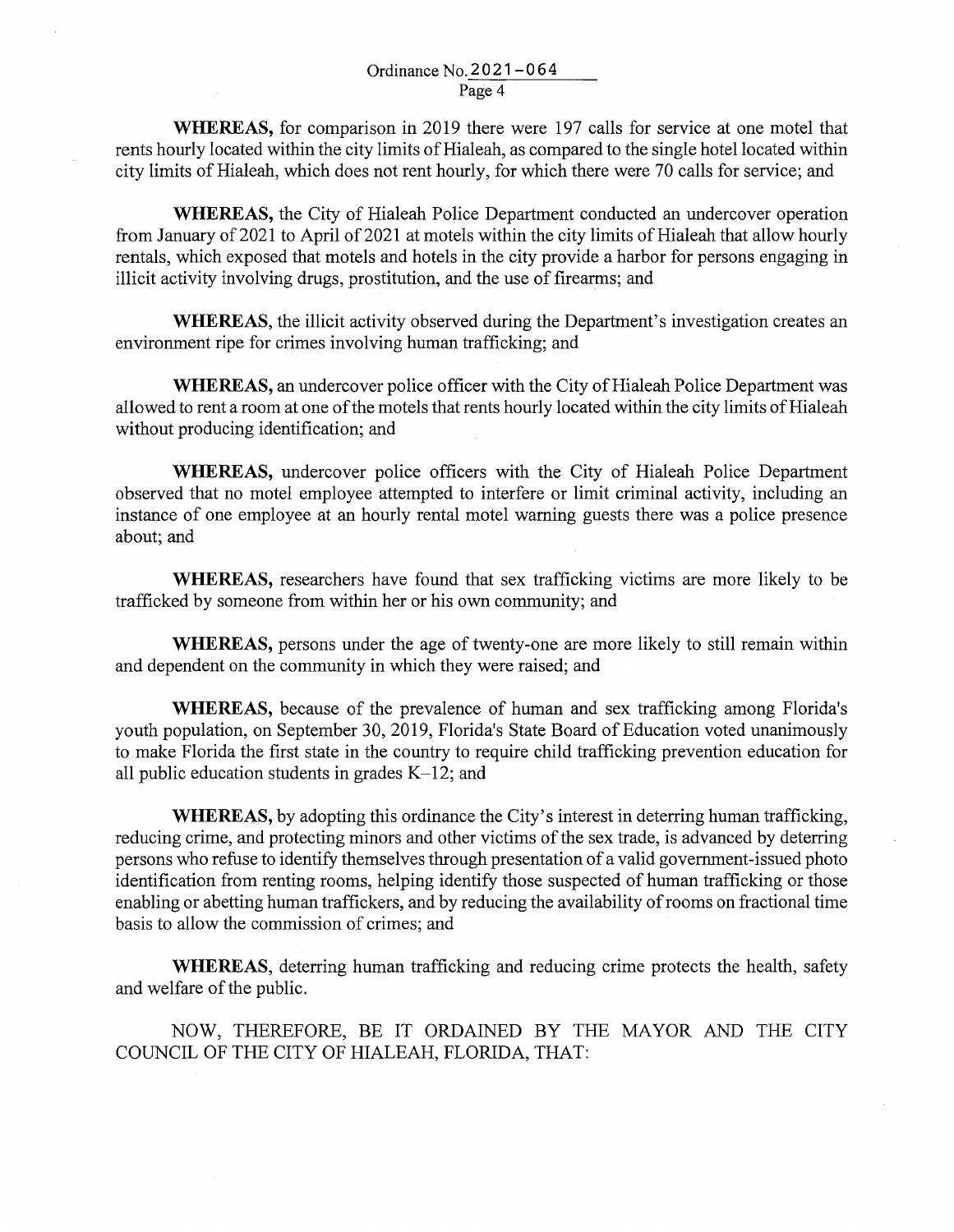**WHEREAS,** for comparison in 2019 there were 197 calls for service at one motel that rents hourly located within the city limits of Hialeah, as compared to the single hotel located within city limits of Hialeah, which does not rent hourly, for which there were 70 calls for service; and

**WHEREAS,** the City of Hialeah Police Department conducted an undercover operation from January of 2021 to April of 2021 at motels within the city limits of Hialeah that allow hourly rentals, which exposed that motels and hotels in the city provide a harbor for persons engaging in illicit activity involving drugs, prostitution, and the use of firearms; and

**WHEREAS,** the illicit activity observed during the Department's investigation creates an environment ripe for crimes involving human trafficking; and

**WHEREAS,** an undercover police officer with the City of Hialeah Police Department was allowed to rent a room at one of the motels that rents hourly located within the city limits of Hialeah without producing identification; and

**WHEREAS,** undercover police officers with the City of Hialeah Police Department observed that no motel employee attempted to interfere or limit criminal activity, including an instance of one employee at an hourly rental motel warning guests there was a police presence about; and

**WHEREAS,** researchers have found that sex trafficking victims are more likely to be trafficked by someone from within her or his own community; and

**WHEREAS,** persons under the age of twenty-one are more likely to still remain within and dependent on the community in which they were raised; and

**WHEREAS,** because of the prevalence of human and sex trafficking among Florida's youth population, on September 30, 2019, Florida's State Board of Education voted unanimously to make Florida the first state in the country to require child trafficking prevention education for all public education students in grades  $K-12$ ; and

**WHEREAS,** by adopting this ordinance the City's interest in deterring human trafficking, reducing crime, and protecting minors and other victims of the sex trade, is advanced by deterring persons who refuse to identify themselves through presentation of a valid government-issued photo identification from renting rooms, helping identify those suspected of human trafficking or those enabling or abetting human traffickers, and by reducing the availability of rooms on fractional time basis to allow the commission of crimes; and

**WHEREAS,** deterring human trafficking and reducing crime protects the health, safety and welfare of the public.

NOW, THEREFORE, BE IT ORDAINED BY THE MAYOR AND THE CITY COUNCIL OF THE CITY OF HIALEAH, FLORIDA, THAT: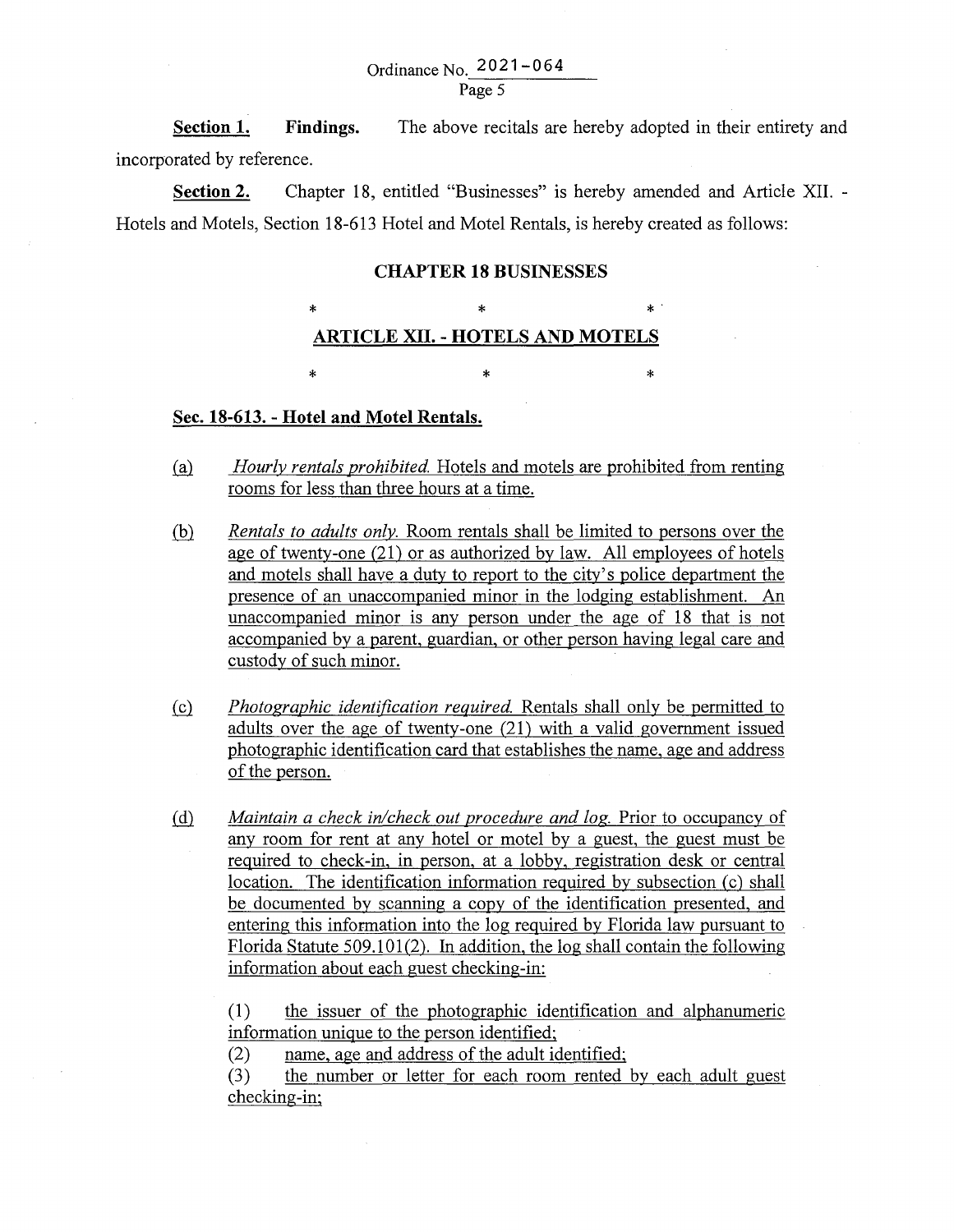**Section 1. Findings.** The above recitals are hereby adopted in their entirety and incorporated by reference.

**Section 2.** Chapter 18, entitled "Businesses" is hereby amended and Article XII. - Hotels and Motels, Section 18-613 Hotel and Motel Rentals, is hereby created as follows:

#### **CHAPTER 18 BUSINESSES**

# \* \* \*. **ARTICLE XII. - HOTELS AND MOTELS**

 $\ast$   $\ast$   $\ast$ 

# **Sec. 18-613. - Hotel and Motel Rentals .**

- .(fil *Hourly rentals prohibited.* Hotels and motels are prohibited from renting rooms for less than three hours at a time.
- .(hl *Rentals to adults only.* Room rentals shall be limited to persons over the age of twenty-one (21) or as authorized by law. All employees of hotels and motels shall have a duty to report to the city's police department the presence of an unaccompanied minor in the lodging establishment. An unaccompanied minor is any person under the age of 18 that is not accompanied by a parent, guardian, or other person having legal care and custody of such minor.
- !£} *Photographic identification required.* Rentals shall only be permitted to adults over the age of twenty-one (21) with a valid government issued photographic identification card that establishes the name, age and address of the person.
- @ *Maintain a check in/check out procedure and log.* Prior to occupancy of any room for rent at any hotel or motel by a guest, the guest must be required to check-in, in person, at a lobby, registration desk or central location. The identification information required by subsection (c) shall be documented by scanning a copy of the identification presented, and entering this information into the log required by Florida law pursuant to Florida Statute 509.101(2). In addition, the log shall contain the following information about each guest checking-in:

(1) the issuer of the photographic identification and alphanumeric information unique to the person identified;

(2) name, age and address of the adult identified;

(3) the number or letter for each room rented by each adult guest checking-in;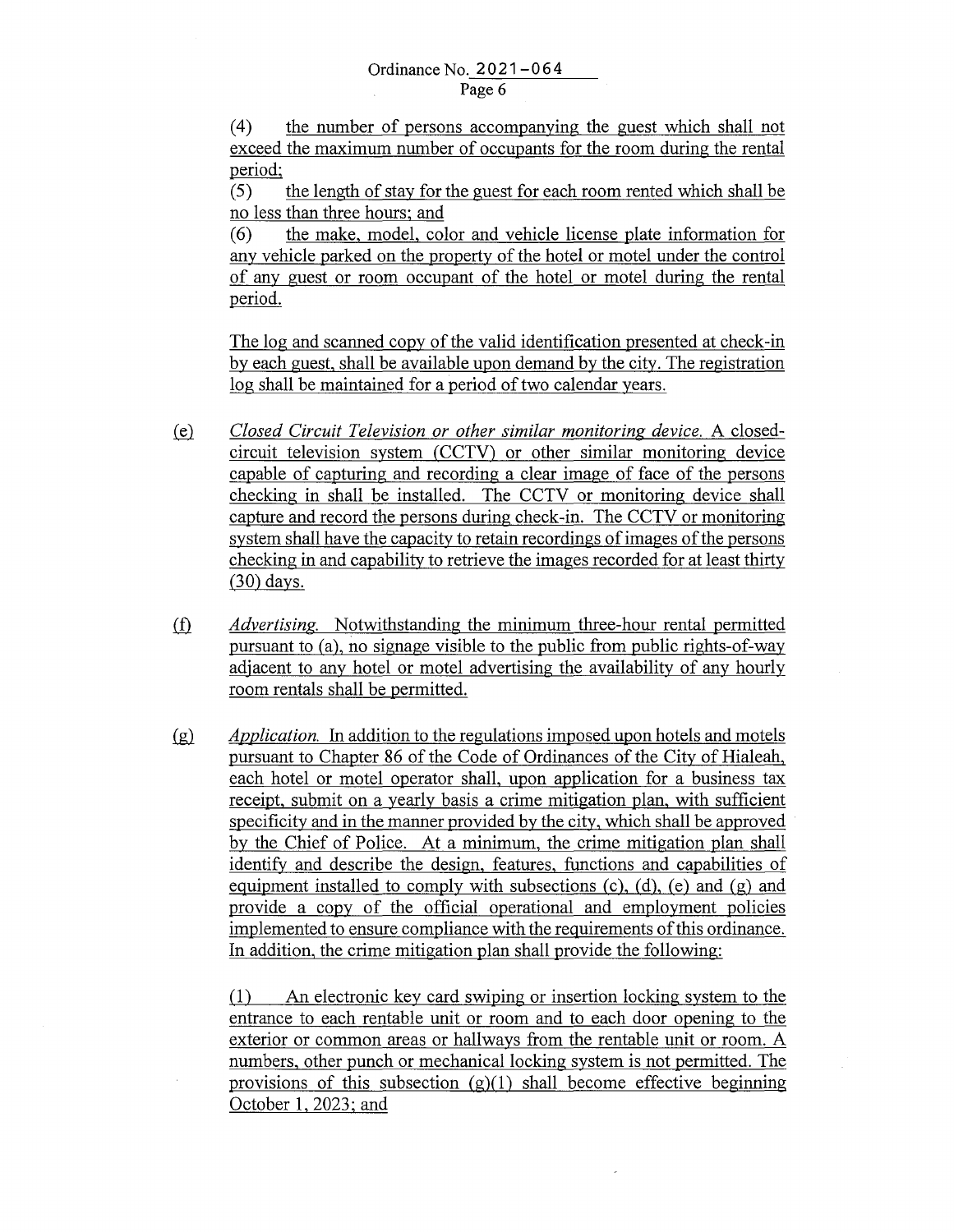( 4) the number of persons accompanying the guest which shall not exceed the maximum number of occupants for the room during the rental period;

(5) the length of stay for the guest for each room rented which shall be no less than three hours; and

( 6) the make, model, color and vehicle license plate information for any vehicle parked on the property of the hotel or motel under the control of any guest or room occupant of the hotel or motel during the rental period.

The log and scanned copy of the valid identification presented at check-in by each guest, shall be available upon demand by the city. The registration log shall be maintained for a period of two calendar years.

- W *Closed Circuit Television or other similar monitoring device.* A closedcircuit television system (CCTV) or other similar monitoring device capable of capturing and recording a clear image of face of the persons checking in shall be installed. The CCTV or monitoring device shall capture and record the persons during check-in. The CCTV or monitoring system shall have the capacity to retain recordings of images of the persons checking in and capability to retrieve the images recorded for at least thirty (30) days.
- ifl *Advertising.* Notwithstanding the minimum three-hour rental permitted pursuant to (a), no signage visible to the public from public rights-of-way adjacent to any hotel or motel advertising the availability of any hourly room rentals shall be permitted.
- .(g)\_ *Application.* In addition to the regulations imposed upon hotels and motels pursuant to Chapter 86 of the Code of Ordinances of the City of Hialeah, each hotel or motel operator shall, upon application for a business tax receipt, submit on a yearly basis a crime mitigation plan, with sufficient specificity and in the manner provided by the city, which shall be approved by the Chief of Police. At a minimum, the crime mitigation plan shall identify and describe the design, features, functions and capabilities of equipment installed to comply with subsections  $(c)$ ,  $(d)$ ,  $(e)$  and  $(g)$  and provide a copy of the official operational and employment policies implemented to ensure compliance with the requirements of this ordinance. In addition, the crime mitigation plan shall provide the following:

(1) An electronic key card swiping or insertion locking system to the entrance to each rentable unit or room and to each door opening to the exterior or common areas or hallways from the rentable unit or room. A numbers, other punch or mechanical locking system is not permitted. The provisions of this subsection  $(g)(1)$  shall become effective beginning October 1, 2023; and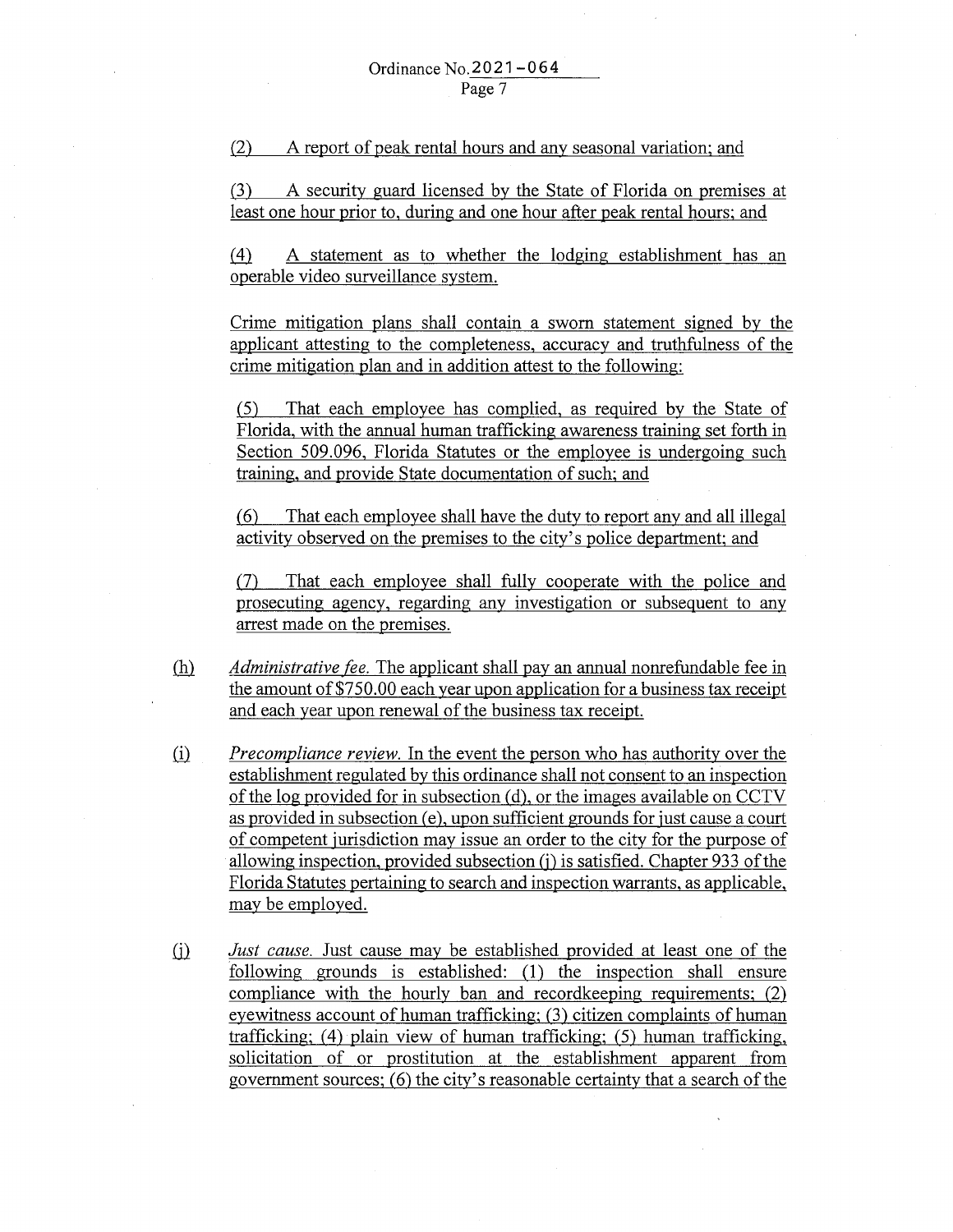(2) A report of peak rental hours and any seasonal variation; and

(3) A security guard licensed by the State of Florida on premises at least one hour prior to, during and one hour after peak rental hours; and

.(±}\_ A statement as to whether the lodging establishment has an operable video surveillance system.

Crime mitigation plans shall contain a sworn statement signed by the applicant attesting to the completeness, accuracy and truthfulness of the crime mitigation plan and in addition attest to the following:

(5) That each employee has complied, as required by the State of Florida, with the annual human trafficking awareness training set forth in Section 509.096, Florida Statutes or the employee is undergoing such training, and provide State documentation of such; and

(6) That each employee shall have the duty to report any and all illegal activity observed on the premises to the city's police department; and

(7) That each employee shall fully cooperate with the police and prosecuting agency, regarding any investigation or subsequent to any arrest made on the premises .

- .(hl *Administrative fee.* The applicant shall pay an annual nonrefundable fee in the amount of \$750.00 each year upon application for a business tax receipt and each year upon renewal of the business tax receipt.
- ill *Precompliance review.* In the event the person who has authority over the establishment regulated by this ordinance shall not consent to an inspection of the log provided for in subsection (d), or the images available on CCTV as provided in subsection (e), upon sufficient grounds for just cause a court of competent jurisdiction may issue an order to the city for the purpose of allowing inspection, provided subsection (j) is satisfied. Chapter 933 of the Florida Statutes pertaining to search and inspection warrants, as applicable, may be employed.
- ill *Just cause.* Just cause may be established provided at least one of the following grounds is established: (1) the inspection shall ensure compliance with the hourly ban and recordkeeping requirements; (2) eyewitness account of human trafficking; (3) citizen complaints of human trafficking; (4) plain view of human trafficking; (5) human trafficking, solicitation of or prostitution at the establishment apparent from government sources; (6) the city's reasonable certainty that a search of the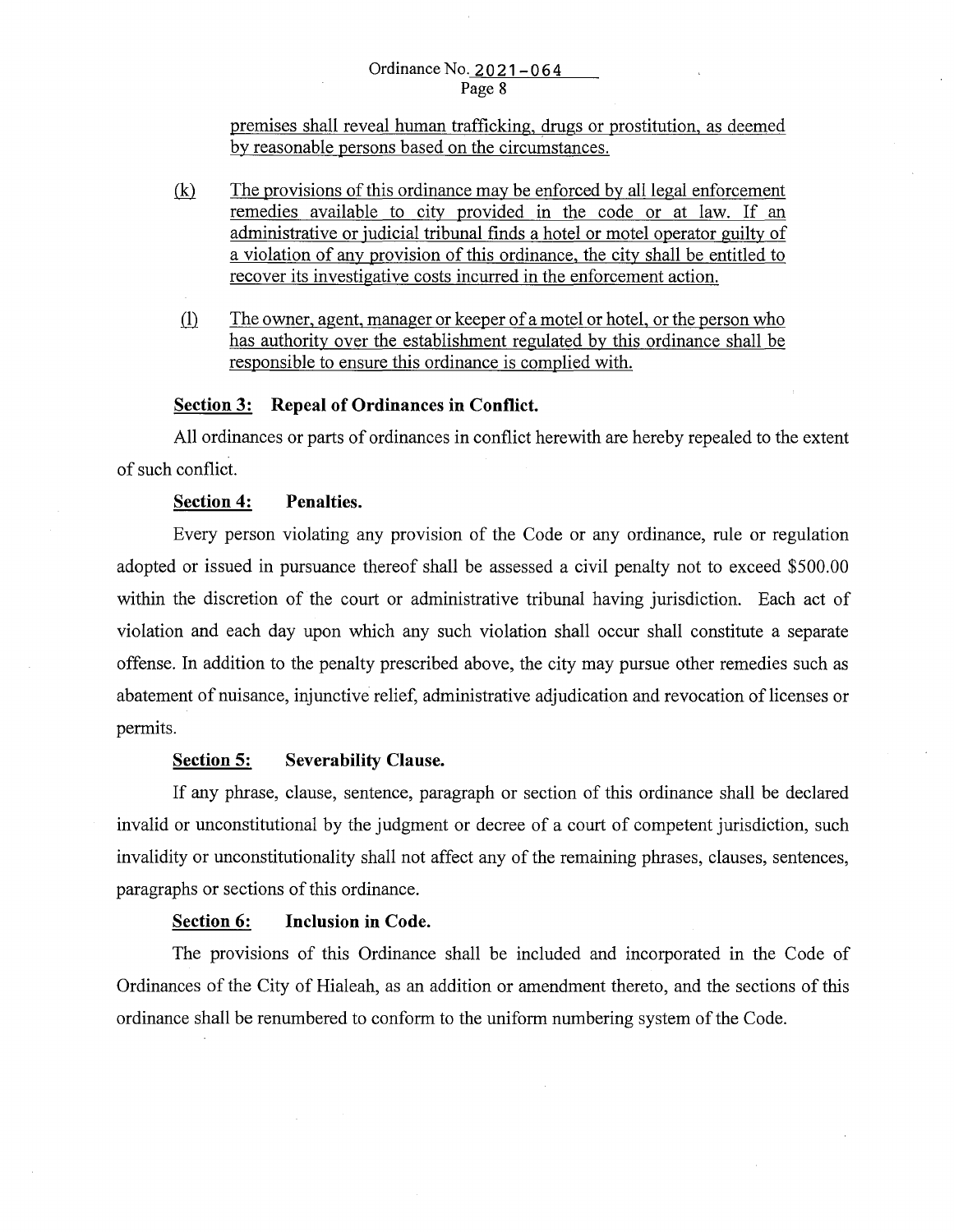# Ordinance No. 2021-064 Page 8

premises shall reveal human trafficking, drugs or prostitution, as deemed by reasonable persons based on the circumstances .

- $(k)$  The provisions of this ordinance may be enforced by all legal enforcement remedies available to city provided in the code or at law. If an administrative or judicial tribunal finds a hotel or motel operator guilty of a violation of any provision of this ordinance, the city shall be entitled to recover its investigative costs incurred in the enforcement action.
- ill The owner, agent, manager or keeper of a motel or hotel, or the person who has authority over the establishment regulated by this ordinance shall be responsible to ensure this ordinance is complied with.

# **Section 3: Repeal of Ordinances in Conflict.**

All ordinances or parts of ordinances in conflict herewith are hereby repealed to the extent of such conflict.

### **Section 4: Penalties.**

Every person violating any provision of the Code or any ordinance, rule or regulation adopted or issued in pursuance thereof shall be assessed a civil penalty not to exceed \$500.00 within the discretion of the court or administrative tribunal having jurisdiction. Each act of violation and each day upon which any such violation shall occur shall constitute a separate offense. In addition to the penalty prescribed above, the city may pursue other remedies such as abatement of nuisance, injunctive relief, administrative adjudication and revocation of licenses or permits.

# **Section 5: Severability Clause.**

If any phrase, clause, sentence, paragraph or section of this ordinance shall be declared invalid or unconstitutional by the judgment or decree of a court of competent jurisdiction, such invalidity or unconstitutionality shall not affect any of the remaining phrases, clauses, sentences, paragraphs or sections of this ordinance.

# **Section 6: Inclusion in Code.**

The provisions of this Ordinance shall be included and incorporated in the Code of Ordinances of the City of Hialeah, as an addition or amendment thereto, and the sections of this ordinance shall be renumbered to conform to the uniform numbering system of the Code.